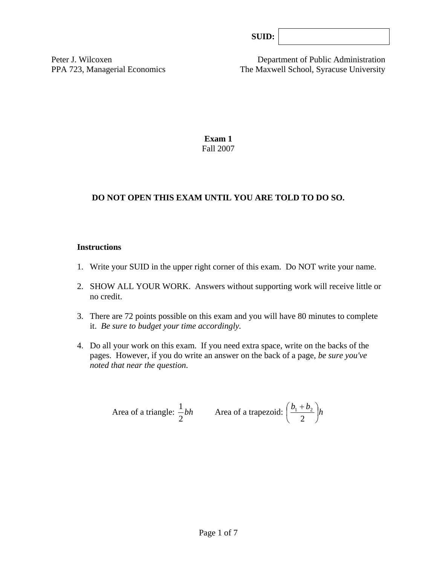| SUB: |  |
|------|--|
|------|--|

Peter J. Wilcoxen Department of Public Administration PPA 723, Managerial Economics The Maxwell School, Syracuse University

> **Exam 1**  Fall 2007

### **DO NOT OPEN THIS EXAM UNTIL YOU ARE TOLD TO DO SO.**

#### **Instructions**

- 1. Write your SUID in the upper right corner of this exam. Do NOT write your name.
- 2. SHOW ALL YOUR WORK. Answers without supporting work will receive little or no credit.
- 3. There are 72 points possible on this exam and you will have 80 minutes to complete it. *Be sure to budget your time accordingly.*
- 4. Do all your work on this exam. If you need extra space, write on the backs of the pages. However, if you do write an answer on the back of a page, *be sure you've noted that near the question*.

Area of a triangle: 
$$
\frac{1}{2}bh
$$
 Area of a trapezoid:  $\left(\frac{b_1 + b_2}{2}\right)h$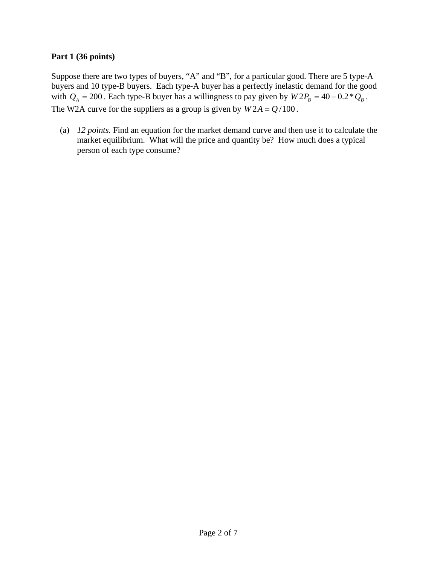### **Part 1 (36 points)**

Suppose there are two types of buyers, "A" and "B", for a particular good. There are 5 type-A buyers and 10 type-B buyers. Each type-A buyer has a perfectly inelastic demand for the good with  $Q_A = 200$ . Each type-B buyer has a willingness to pay given by  $W2P_B = 40 - 0.2 \times Q_B$ . The W2A curve for the suppliers as a group is given by  $W2A = Q/100$ .

(a) *12 points.* Find an equation for the market demand curve and then use it to calculate the market equilibrium. What will the price and quantity be? How much does a typical person of each type consume?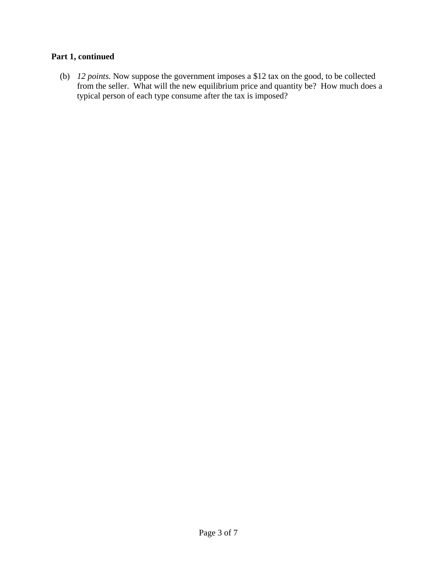# **Part 1, continued**

(b) *12 points.* Now suppose the government imposes a \$12 tax on the good, to be collected from the seller. What will the new equilibrium price and quantity be? How much does a typical person of each type consume after the tax is imposed?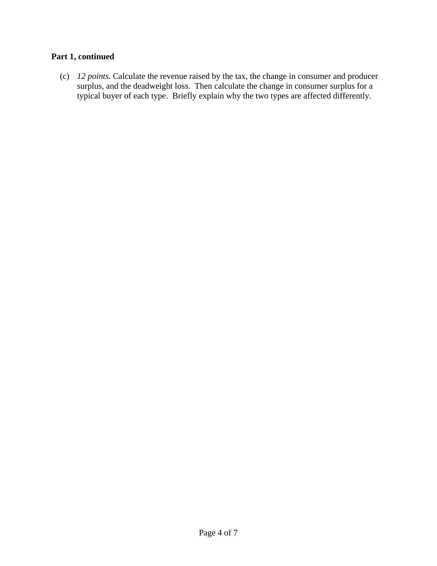# **Part 1, continued**

(c) *12 points.* Calculate the revenue raised by the tax, the change in consumer and producer surplus, and the deadweight loss. Then calculate the change in consumer surplus for a typical buyer of each type. Briefly explain why the two types are affected differently.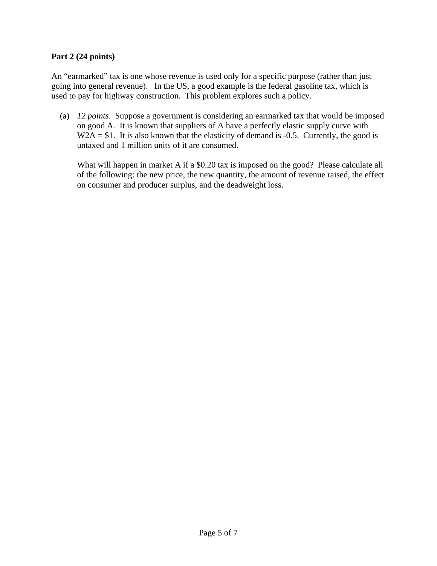### **Part 2 (24 points)**

An "earmarked" tax is one whose revenue is used only for a specific purpose (rather than just going into general revenue). In the US, a good example is the federal gasoline tax, which is used to pay for highway construction. This problem explores such a policy.

 (a) *12 points*. Suppose a government is considering an earmarked tax that would be imposed on good A. It is known that suppliers of A have a perfectly elastic supply curve with  $W2A = $1$ . It is also known that the elasticity of demand is -0.5. Currently, the good is untaxed and 1 million units of it are consumed.

What will happen in market A if a \$0.20 tax is imposed on the good? Please calculate all of the following: the new price, the new quantity, the amount of revenue raised, the effect on consumer and producer surplus, and the deadweight loss.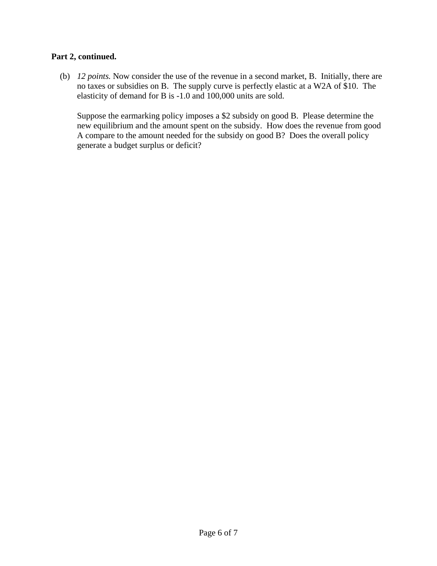#### **Part 2, continued.**

 (b) *12 points.* Now consider the use of the revenue in a second market, B. Initially, there are no taxes or subsidies on B. The supply curve is perfectly elastic at a W2A of \$10. The elasticity of demand for B is -1.0 and 100,000 units are sold.

Suppose the earmarking policy imposes a \$2 subsidy on good B. Please determine the new equilibrium and the amount spent on the subsidy. How does the revenue from good A compare to the amount needed for the subsidy on good B? Does the overall policy generate a budget surplus or deficit?